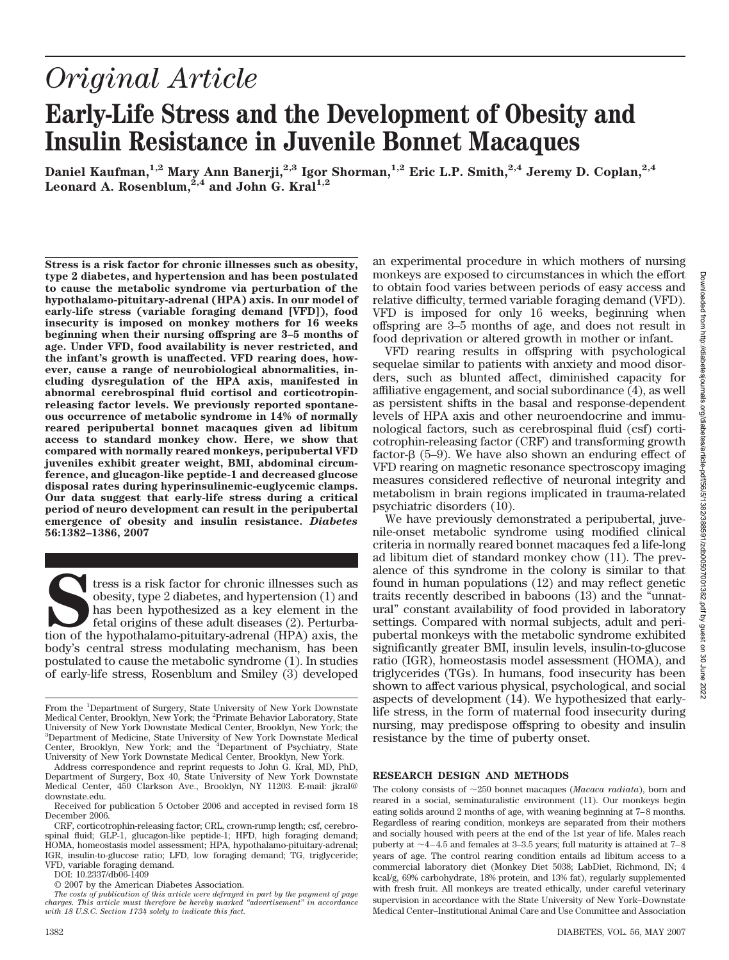# *Original Article* **Early-Life Stress and the Development of Obesity and Insulin Resistance in Juvenile Bonnet Macaques**

**Daniel Kaufman,1,2 Mary Ann Banerji,2,3 Igor Shorman,1,2 Eric L.P. Smith,2,4 Jeremy D. Coplan,2,4** Leonard A. Rosenblum,<sup>2,4</sup> and John G. Kral<sup>1,2</sup>

**Stress is a risk factor for chronic illnesses such as obesity, type 2 diabetes, and hypertension and has been postulated to cause the metabolic syndrome via perturbation of the hypothalamo-pituitary-adrenal (HPA) axis. In our model of early-life stress (variable foraging demand [VFD]), food insecurity is imposed on monkey mothers for 16 weeks beginning when their nursing offspring are 3–5 months of age. Under VFD, food availability is never restricted, and the infant's growth is unaffected. VFD rearing does, however, cause a range of neurobiological abnormalities, including dysregulation of the HPA axis, manifested in abnormal cerebrospinal fluid cortisol and corticotropinreleasing factor levels. We previously reported spontaneous occurrence of metabolic syndrome in 14% of normally reared peripubertal bonnet macaques given ad libitum access to standard monkey chow. Here, we show that compared with normally reared monkeys, peripubertal VFD juveniles exhibit greater weight, BMI, abdominal circumference, and glucagon-like peptide-1 and decreased glucose disposal rates during hyperinsulinemic-euglycemic clamps. Our data suggest that early-life stress during a critical period of neuro development can result in the peripubertal emergence of obesity and insulin resistance.** *Diabetes* **56:1382–1386, 2007**

**S**tress is a risk factor for chronic illnesses such as obesity, type 2 diabetes, and hypertension (1) and has been hypothesized as a key element in the fetal origins of these adult diseases (2). Perturbation of the hypothalamo-pituitary-adrenal (HPA) axis, the body's central stress modulating mechanism, has been postulated to cause the metabolic syndrome (1). In studies of early-life stress, Rosenblum and Smiley (3) developed

DOI: 10.2337/db06-1409

an experimental procedure in which mothers of nursing monkeys are exposed to circumstances in which the effort to obtain food varies between periods of easy access and relative difficulty, termed variable foraging demand (VFD). VFD is imposed for only 16 weeks, beginning when offspring are 3–5 months of age, and does not result in food deprivation or altered growth in mother or infant.

VFD rearing results in offspring with psychological sequelae similar to patients with anxiety and mood disorders, such as blunted affect, diminished capacity for affiliative engagement, and social subordinance (4), as well as persistent shifts in the basal and response-dependent levels of HPA axis and other neuroendocrine and immunological factors, such as cerebrospinal fluid (csf) corticotrophin-releasing factor (CRF) and transforming growth factor- $\beta$  (5–9). We have also shown an enduring effect of VFD rearing on magnetic resonance spectroscopy imaging measures considered reflective of neuronal integrity and metabolism in brain regions implicated in trauma-related psychiatric disorders (10).

We have previously demonstrated a peripubertal, juvenile-onset metabolic syndrome using modified clinical criteria in normally reared bonnet macaques fed a life-long ad libitum diet of standard monkey chow (11). The prevalence of this syndrome in the colony is similar to that found in human populations (12) and may reflect genetic traits recently described in baboons (13) and the "unnatural" constant availability of food provided in laboratory settings. Compared with normal subjects, adult and peripubertal monkeys with the metabolic syndrome exhibited significantly greater BMI, insulin levels, insulin-to-glucose ratio (IGR), homeostasis model assessment (HOMA), and triglycerides (TGs). In humans, food insecurity has been shown to affect various physical, psychological, and social aspects of development (14). We hypothesized that earlylife stress, in the form of maternal food insecurity during nursing, may predispose offspring to obesity and insulin resistance by the time of puberty onset.

#### **RESEARCH DESIGN AND METHODS**

The colony consists of  $\sim$ 250 bonnet macaques (*Macaca radiata*), born and reared in a social, seminaturalistic environment (11). Our monkeys begin eating solids around 2 months of age, with weaning beginning at 7–8 months. Regardless of rearing condition, monkeys are separated from their mothers and socially housed with peers at the end of the 1st year of life. Males reach puberty at  $\sim$ 4–4.5 and females at 3–3.5 years; full maturity is attained at 7–8 years of age. The control rearing condition entails ad libitum access to a commercial laboratory diet (Monkey Diet 5038; LabDiet, Richmond, IN; 4 kcal/g, 69% carbohydrate, 18% protein, and 13% fat), regularly supplemented with fresh fruit. All monkeys are treated ethically, under careful veterinary supervision in accordance with the State University of New York–Downstate Medical Center–Institutional Animal Care and Use Committee and Association

From the <sup>1</sup>Department of Surgery, State University of New York Downstate Medical Center, Brooklyn, New York; the <sup>2</sup>Primate Behavior Laboratory, State University of New York Downstate Medical Center, Brooklyn, New York; the 3 Department of Medicine, State University of New York Downstate Medical Center, Brooklyn, New York; and the <sup>4</sup> Department of Psychiatry, State University of New York Downstate Medical Center, Brooklyn, New York.

Address correspondence and reprint requests to John G. Kral, MD, PhD, Department of Surgery, Box 40, State University of New York Downstate Medical Center, 450 Clarkson Ave., Brooklyn, NY 11203. E-mail: jkral@ downstate.edu.

Received for publication 5 October 2006 and accepted in revised form 18 December 2006.

CRF, corticotrophin-releasing factor; CRL, crown-rump length; csf, cerebrospinal fluid; GLP-1, glucagon-like peptide-1; HFD, high foraging demand; HOMA, homeostasis model assessment; HPA, hypothalamo-pituitary-adrenal; IGR, insulin-to-glucose ratio; LFD, low foraging demand; TG, triglyceride; VFD, variable foraging demand.

<sup>© 2007</sup> by the American Diabetes Association.

*The costs of publication of this article were defrayed in part by the payment of page charges. This article must therefore be hereby marked "advertisement" in accordance with 18 U.S.C. Section 1734 solely to indicate this fact.*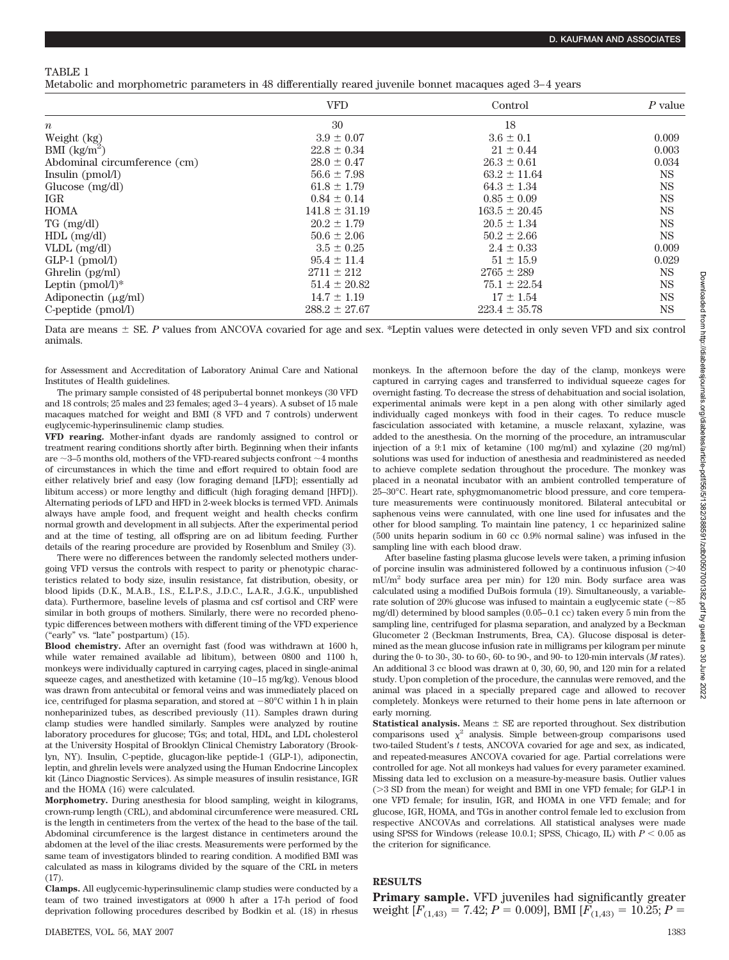## TABLE 1

Metabolic and morphometric parameters in 48 differentially reared juvenile bonnet macaques aged 3–4 years

|                                           | <b>VFD</b>        | Control           | $P$ value |
|-------------------------------------------|-------------------|-------------------|-----------|
| $\boldsymbol{n}$                          | 30                | 18                |           |
| Weight (kg)                               | $3.9 \pm 0.07$    | $3.6 \pm 0.1$     | 0.009     |
| BMI $\frac{kg}{m^2}$                      | $22.8 \pm 0.34$   | $21 \pm 0.44$     | 0.003     |
| Abdominal circumference (cm)              | $28.0 \pm 0.47$   | $26.3 \pm 0.61$   | 0.034     |
| Insulin (pmol/l)                          | $56.6 \pm 7.98$   | $63.2 \pm 11.64$  | <b>NS</b> |
| Glucose $(mg/dl)$                         | $61.8 \pm 1.79$   | $64.3 \pm 1.34$   | <b>NS</b> |
| IGR                                       | $0.84 \pm 0.14$   | $0.85 \pm 0.09$   | <b>NS</b> |
| <b>HOMA</b>                               | $141.8 \pm 31.19$ | $163.5 \pm 20.45$ | <b>NS</b> |
| $TG \, (mg/dl)$                           | $20.2 \pm 1.79$   | $20.5 \pm 1.34$   | NS        |
| $HDL$ (mg/dl)                             | $50.6 \pm 2.06$   | $50.2 \pm 2.66$   | <b>NS</b> |
| VLDL $(mg/dl)$                            | $3.5 \pm 0.25$    | $2.4 \pm 0.33$    | 0.009     |
| $GLP-1$ (pmol/l)                          | $95.4 \pm 11.4$   | $51 \pm 15.9$     | 0.029     |
| Ghrelin (pg/ml)                           | $2711 \pm 212$    | $2765 \pm 289$    | <b>NS</b> |
| Leptin $(pmol/l)^*$                       | $51.4 \pm 20.82$  | $75.1 \pm 22.54$  | <b>NS</b> |
| Adiponectin $(\mu\mathbf{g}/m\mathbf{l})$ | $14.7 \pm 1.19$   | $17 \pm 1.54$     | NS        |
| $C$ -peptide (pmol/l)                     | $288.2 \pm 27.67$ | $223.4 \pm 35.78$ | <b>NS</b> |

Data are means  $\pm$  SE. P values from ANCOVA covaried for age and sex. \*Leptin values were detected in only seven VFD and six control animals.

for Assessment and Accreditation of Laboratory Animal Care and National Institutes of Health guidelines.

The primary sample consisted of 48 peripubertal bonnet monkeys (30 VFD and 18 controls; 25 males and 23 females; aged 3–4 years). A subset of 15 male macaques matched for weight and BMI (8 VFD and 7 controls) underwent euglycemic-hyperinsulinemic clamp studies.

**VFD rearing.** Mother-infant dyads are randomly assigned to control or treatment rearing conditions shortly after birth. Beginning when their infants are  ${\sim}3{\text{--}5}$  months old, mothers of the VFD-reared subjects confront  ${\sim}4$  months of circumstances in which the time and effort required to obtain food are either relatively brief and easy (low foraging demand [LFD]; essentially ad libitum access) or more lengthy and difficult (high foraging demand [HFD]). Alternating periods of LFD and HFD in 2-week blocks is termed VFD. Animals always have ample food, and frequent weight and health checks confirm normal growth and development in all subjects. After the experimental period and at the time of testing, all offspring are on ad libitum feeding. Further details of the rearing procedure are provided by Rosenblum and Smiley (3).

There were no differences between the randomly selected mothers undergoing VFD versus the controls with respect to parity or phenotypic characteristics related to body size, insulin resistance, fat distribution, obesity, or blood lipids (D.K., M.A.B., I.S., E.L.P.S., J.D.C., L.A.R., J.G.K., unpublished data). Furthermore, baseline levels of plasma and csf cortisol and CRF were similar in both groups of mothers. Similarly, there were no recorded phenotypic differences between mothers with different timing of the VFD experience ("early" vs. "late" postpartum) (15).

**Blood chemistry.** After an overnight fast (food was withdrawn at 1600 h, while water remained available ad libitum), between 0800 and 1100 h, monkeys were individually captured in carrying cages, placed in single-animal squeeze cages, and anesthetized with ketamine (10–15 mg/kg). Venous blood was drawn from antecubital or femoral veins and was immediately placed on ice, centrifuged for plasma separation, and stored at  $-80^{\circ}$ C within 1 h in plain nonheparinized tubes, as described previously (11). Samples drawn during clamp studies were handled similarly. Samples were analyzed by routine laboratory procedures for glucose; TGs; and total, HDL, and LDL cholesterol at the University Hospital of Brooklyn Clinical Chemistry Laboratory (Brooklyn, NY). Insulin, C-peptide, glucagon-like peptide-1 (GLP-1), adiponectin, leptin, and ghrelin levels were analyzed using the Human Endocrine Lincoplex kit (Linco Diagnostic Services). As simple measures of insulin resistance, IGR and the HOMA (16) were calculated.

**Morphometry.** During anesthesia for blood sampling, weight in kilograms, crown-rump length (CRL), and abdominal circumference were measured. CRL is the length in centimeters from the vertex of the head to the base of the tail. Abdominal circumference is the largest distance in centimeters around the abdomen at the level of the iliac crests. Measurements were performed by the same team of investigators blinded to rearing condition. A modified BMI was calculated as mass in kilograms divided by the square of the CRL in meters (17).

**Clamps.** All euglycemic-hyperinsulinemic clamp studies were conducted by a team of two trained investigators at 0900 h after a 17-h period of food deprivation following procedures described by Bodkin et al. (18) in rhesus monkeys. In the afternoon before the day of the clamp, monkeys were captured in carrying cages and transferred to individual squeeze cages for overnight fasting. To decrease the stress of dehabituation and social isolation, experimental animals were kept in a pen along with other similarly aged individually caged monkeys with food in their cages. To reduce muscle fasciculation associated with ketamine, a muscle relaxant, xylazine, was added to the anesthesia. On the morning of the procedure, an intramuscular injection of a 9:1 mix of ketamine (100 mg/ml) and xylazine (20 mg/ml) solutions was used for induction of anesthesia and readministered as needed to achieve complete sedation throughout the procedure. The monkey was placed in a neonatal incubator with an ambient controlled temperature of 25–30°C. Heart rate, sphygmomanometric blood pressure, and core temperature measurements were continuously monitored. Bilateral antecubital or saphenous veins were cannulated, with one line used for infusates and the other for blood sampling. To maintain line patency, 1 cc heparinized saline (500 units heparin sodium in 60 cc 0.9% normal saline) was infused in the sampling line with each blood draw.

After baseline fasting plasma glucose levels were taken, a priming infusion of porcine insulin was administered followed by a continuous infusion  $(>\!\!40$ mU/m<sup>2</sup> body surface area per min) for 120 min. Body surface area was calculated using a modified DuBois formula (19). Simultaneously, a variablerate solution of 20% glucose was infused to maintain a euglycemic state ( $\sim\!\!85$ mg/dl) determined by blood samples (0.05–0.1 cc) taken every 5 min from the sampling line, centrifuged for plasma separation, and analyzed by a Beckman Glucometer 2 (Beckman Instruments, Brea, CA). Glucose disposal is determined as the mean glucose infusion rate in milligrams per kilogram per minute during the 0- to 30-, 30- to 60-, 60- to 90-, and 90- to 120-min intervals (*M* rates). An additional 3 cc blood was drawn at 0, 30, 60, 90, and 120 min for a related study. Upon completion of the procedure, the cannulas were removed, and the animal was placed in a specially prepared cage and allowed to recover completely. Monkeys were returned to their home pens in late afternoon or early morning.

**Statistical analysis.** Means  $\pm$  SE are reported throughout. Sex distribution comparisons used  $\chi^2$  analysis. Simple between-group comparisons used two-tailed Student's *t* tests, ANCOVA covaried for age and sex, as indicated, and repeated-measures ANCOVA covaried for age. Partial correlations were controlled for age. Not all monkeys had values for every parameter examined. Missing data led to exclusion on a measure-by-measure basis. Outlier values (3 SD from the mean) for weight and BMI in one VFD female; for GLP-1 in one VFD female; for insulin, IGR, and HOMA in one VFD female; and for glucose, IGR, HOMA, and TGs in another control female led to exclusion from respective ANCOVAs and correlations. All statistical analyses were made using SPSS for Windows (release 10.0.1; SPSS, Chicago, IL) with  $P < 0.05$  as the criterion for significance.

# **RESULTS**

**Primary sample.** VFD juveniles had significantly greater weight  $[F_{(1,43)} = 7.42; P = 0.009]$ , BMI  $[F_{(1,43)} = 10.25; P =$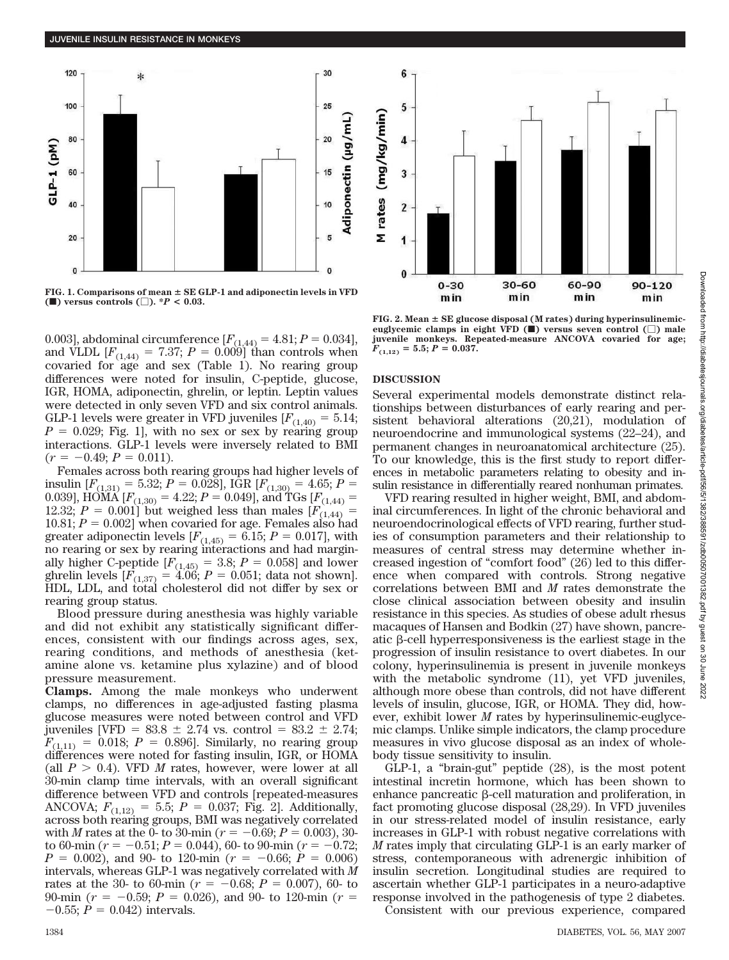

**FIG. 1. Comparisons of mean SE GLP-1 and adiponectin levels in VFD (** $\blacksquare$ **)** versus controls  $\square$ ). \**P* < 0.03.

0.003], abdominal circumference  $[F_{(1,44)} = 4.81; P = 0.034]$ , and VLDL  $[F_{(1,44)} = 7.37; P = 0.009]$  than controls when covaried for age and sex (Table 1). No rearing group differences were noted for insulin, C-peptide, glucose, IGR, HOMA, adiponectin, ghrelin, or leptin. Leptin values were detected in only seven VFD and six control animals. GLP-1 levels were greater in VFD juveniles  $[F_{(1,40)} = 5.14;$  $P = 0.029$ ; Fig. 1], with no sex or sex by rearing group interactions. GLP-1 levels were inversely related to BMI  $(r = -0.49; P = 0.011).$ 

Females across both rearing groups had higher levels of insulin  $[F_{(1,31)} = 5.32; P = 0.028]$ , IGR  $[F_{(1,30)} = 4.65; P =$ 0.039], HOMA  $[F_{(1,30)} = 4.22; P = 0.049]$ , and TGs  $[F_{(1,44)} =$ 12.32;  $P = 0.001$  but weighed less than males  $[F_{(1,44)}] =$ 10.81;  $P = 0.002$ ] when covaried for age. Females also had greater adiponectin levels  $[F_{(1,45)} = 6.15; P = 0.017]$ , with no rearing or sex by rearing interactions and had marginally higher C-peptide  $[F_{(1,45)} = 3.8; P = 0.058]$  and lower ghrelin levels  $[F_{(1,37)} = 4.06; P = 0.051; \text{ data not shown}].$ HDL, LDL, and total cholesterol did not differ by sex or rearing group status.

Blood pressure during anesthesia was highly variable and did not exhibit any statistically significant differences, consistent with our findings across ages, sex, rearing conditions, and methods of anesthesia (ketamine alone vs. ketamine plus xylazine) and of blood pressure measurement.

**Clamps.** Among the male monkeys who underwent clamps, no differences in age-adjusted fasting plasma glucose measures were noted between control and VFD juveniles [VFD =  $83.8 \pm 2.74$  vs. control =  $83.2 \pm 2.74$ ;  $F_{(1,11)} = 0.018$ ;  $P = 0.896$ . Similarly, no rearing group differences were noted for fasting insulin, IGR, or HOMA (all  $P > 0.4$ ). VFD *M* rates, however, were lower at all 30-min clamp time intervals, with an overall significant difference between VFD and controls [repeated-measures ANCOVA;  $F_{(1,12)} = 5.5$ ;  $P = 0.037$ ; Fig. 2]. Additionally, across both rearing groups, BMI was negatively correlated with *M* rates at the 0- to 30-min ( $r = -0.69; P = 0.003$ ), 30to 60-min ( $r = -0.51; P = 0.044$ ), 60- to 90-min ( $r = -0.72;$  $P = 0.002$ , and 90- to 120-min ( $r = -0.66$ ;  $P = 0.006$ ) intervals, whereas GLP-1 was negatively correlated with *M* rates at the 30- to 60-min ( $r = -0.68; P = 0.007$ ), 60- to 90-min ( $r = -0.59$ ;  $P = 0.026$ ), and 90- to 120-min ( $r =$  $-0.55; P = 0.042$  intervals.

FIG. 2. Mean  $\pm$  SE glucose disposal (M rates) during hyperinsulinemic**euglycemic clamps in eight VFD (**f**) versus seven control () male juvenile monkeys. Repeated-measure ANCOVA covaried for age;**  $F_{(1,12)} = 5.5; P = 0.037.$ 

60-90

min

 $90 - 120$ 

min

30-60

min

## **DISCUSSION**

6

5

 $\overline{\mathbf{4}}$ 

3

 $\overline{2}$ 

1

 $\bf{0}$ 

 $0 - 30$ 

min

rates (mg/kg/min)

Several experimental models demonstrate distinct relationships between disturbances of early rearing and persistent behavioral alterations (20,21), modulation of neuroendocrine and immunological systems (22–24), and permanent changes in neuroanatomical architecture (25). To our knowledge, this is the first study to report differences in metabolic parameters relating to obesity and insulin resistance in differentially reared nonhuman primates.

VFD rearing resulted in higher weight, BMI, and abdominal circumferences. In light of the chronic behavioral and neuroendocrinological effects of VFD rearing, further studies of consumption parameters and their relationship to measures of central stress may determine whether increased ingestion of "comfort food" (26) led to this difference when compared with controls. Strong negative correlations between BMI and *M* rates demonstrate the close clinical association between obesity and insulin resistance in this species. As studies of obese adult rhesus macaques of Hansen and Bodkin (27) have shown, pancreatic  $\beta$ -cell hyperresponsiveness is the earliest stage in the progression of insulin resistance to overt diabetes. In our colony, hyperinsulinemia is present in juvenile monkeys with the metabolic syndrome (11), yet VFD juveniles, although more obese than controls, did not have different levels of insulin, glucose, IGR, or HOMA. They did, however, exhibit lower *M* rates by hyperinsulinemic-euglycemic clamps. Unlike simple indicators, the clamp procedure measures in vivo glucose disposal as an index of wholebody tissue sensitivity to insulin.

GLP-1, a "brain-gut" peptide (28), is the most potent intestinal incretin hormone, which has been shown to enhance pancreatic  $\beta$ -cell maturation and proliferation, in fact promoting glucose disposal (28,29). In VFD juveniles in our stress-related model of insulin resistance, early increases in GLP-1 with robust negative correlations with *M* rates imply that circulating GLP-1 is an early marker of stress, contemporaneous with adrenergic inhibition of insulin secretion. Longitudinal studies are required to ascertain whether GLP-1 participates in a neuro-adaptive response involved in the pathogenesis of type 2 diabetes.

Consistent with our previous experience, compared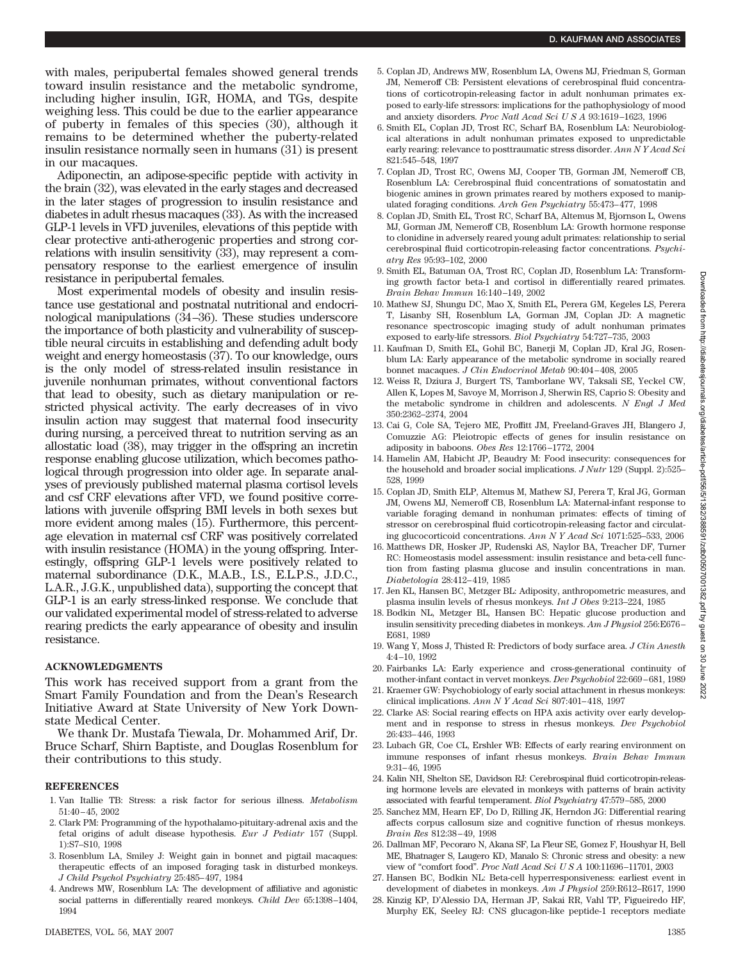with males, peripubertal females showed general trends toward insulin resistance and the metabolic syndrome, including higher insulin, IGR, HOMA, and TGs, despite weighing less. This could be due to the earlier appearance of puberty in females of this species (30), although it remains to be determined whether the puberty-related insulin resistance normally seen in humans (31) is present in our macaques.

Adiponectin, an adipose-specific peptide with activity in the brain (32), was elevated in the early stages and decreased in the later stages of progression to insulin resistance and diabetes in adult rhesus macaques (33). As with the increased GLP-1 levels in VFD juveniles, elevations of this peptide with clear protective anti-atherogenic properties and strong correlations with insulin sensitivity (33), may represent a compensatory response to the earliest emergence of insulin resistance in peripubertal females.

Most experimental models of obesity and insulin resistance use gestational and postnatal nutritional and endocrinological manipulations (34–36). These studies underscore the importance of both plasticity and vulnerability of susceptible neural circuits in establishing and defending adult body weight and energy homeostasis (37). To our knowledge, ours is the only model of stress-related insulin resistance in juvenile nonhuman primates, without conventional factors that lead to obesity, such as dietary manipulation or restricted physical activity. The early decreases of in vivo insulin action may suggest that maternal food insecurity during nursing, a perceived threat to nutrition serving as an allostatic load (38), may trigger in the offspring an incretin response enabling glucose utilization, which becomes pathological through progression into older age. In separate analyses of previously published maternal plasma cortisol levels and csf CRF elevations after VFD, we found positive correlations with juvenile offspring BMI levels in both sexes but more evident among males (15). Furthermore, this percentage elevation in maternal csf CRF was positively correlated with insulin resistance (HOMA) in the young offspring. Interestingly, offspring GLP-1 levels were positively related to maternal subordinance (D.K., M.A.B., I.S., E.L.P.S., J.D.C., L.A.R., J.G.K., unpublished data), supporting the concept that GLP-1 is an early stress-linked response. We conclude that our validated experimental model of stress-related to adverse rearing predicts the early appearance of obesity and insulin resistance.

### **ACKNOWLEDGMENTS**

This work has received support from a grant from the Smart Family Foundation and from the Dean's Research Initiative Award at State University of New York Downstate Medical Center.

We thank Dr. Mustafa Tiewala, Dr. Mohammed Arif, Dr. Bruce Scharf, Shirn Baptiste, and Douglas Rosenblum for their contributions to this study.

## **REFERENCES**

- 1. Van Itallie TB: Stress: a risk factor for serious illness. *Metabolism* 51:40–45, 2002
- 2. Clark PM: Programming of the hypothalamo-pituitary-adrenal axis and the fetal origins of adult disease hypothesis. *Eur J Pediatr* 157 (Suppl. 1):S7–S10, 1998
- 3. Rosenblum LA, Smiley J: Weight gain in bonnet and pigtail macaques: therapeutic effects of an imposed foraging task in disturbed monkeys. *J Child Psychol Psychiatry* 25:485–497, 1984
- 4. Andrews MW, Rosenblum LA: The development of affiliative and agonistic social patterns in differentially reared monkeys. *Child Dev* 65:1398–1404, 1994
- 5. Coplan JD, Andrews MW, Rosenblum LA, Owens MJ, Friedman S, Gorman JM, Nemeroff CB: Persistent elevations of cerebrospinal fluid concentrations of corticotropin-releasing factor in adult nonhuman primates exposed to early-life stressors: implications for the pathophysiology of mood and anxiety disorders. *Proc Natl Acad SciUSA* 93:1619–1623, 1996
- 6. Smith EL, Coplan JD, Trost RC, Scharf BA, Rosenblum LA: Neurobiological alterations in adult nonhuman primates exposed to unpredictable early rearing: relevance to posttraumatic stress disorder. *Ann N Y Acad Sci* 821:545–548, 1997
- 7. Coplan JD, Trost RC, Owens MJ, Cooper TB, Gorman JM, Nemeroff CB, Rosenblum LA: Cerebrospinal fluid concentrations of somatostatin and biogenic amines in grown primates reared by mothers exposed to manipulated foraging conditions. *Arch Gen Psychiatry* 55:473–477, 1998
- 8. Coplan JD, Smith EL, Trost RC, Scharf BA, Altemus M, Bjornson L, Owens MJ, Gorman JM, Nemeroff CB, Rosenblum LA: Growth hormone response to clonidine in adversely reared young adult primates: relationship to serial cerebrospinal fluid corticotropin-releasing factor concentrations. *Psychiatry Res* 95:93–102, 2000
- 9. Smith EL, Batuman OA, Trost RC, Coplan JD, Rosenblum LA: Transforming growth factor beta-1 and cortisol in differentially reared primates. *Brain Behav Immun* 16:140–149, 2002
- 10. Mathew SJ, Shungu DC, Mao X, Smith EL, Perera GM, Kegeles LS, Perera T, Lisanby SH, Rosenblum LA, Gorman JM, Coplan JD: A magnetic resonance spectroscopic imaging study of adult nonhuman primates exposed to early-life stressors. *Biol Psychiatry* 54:727–735, 2003
- 11. Kaufman D, Smith EL, Gohil BC, Banerji M, Coplan JD, Kral JG, Rosenblum LA: Early appearance of the metabolic syndrome in socially reared bonnet macaques. *J Clin Endocrinol Metab* 90:404–408, 2005
- 12. Weiss R, Dziura J, Burgert TS, Tamborlane WV, Taksali SE, Yeckel CW, Allen K, Lopes M, Savoye M, Morrison J, Sherwin RS, Caprio S: Obesity and the metabolic syndrome in children and adolescents. *N Engl J Med* 350:2362–2374, 2004
- 13. Cai G, Cole SA, Tejero ME, Proffitt JM, Freeland-Graves JH, Blangero J, Comuzzie AG: Pleiotropic effects of genes for insulin resistance on adiposity in baboons. *Obes Res* 12:1766–1772, 2004
- 14. Hamelin AM, Habicht JP, Beaudry M: Food insecurity: consequences for the household and broader social implications. *J Nutr* 129 (Suppl. 2):525– 528, 1999
- 15. Coplan JD, Smith ELP, Altemus M, Mathew SJ, Perera T, Kral JG, Gorman JM, Owens MJ, Nemeroff CB, Rosenblum LA: Maternal-infant response to variable foraging demand in nonhuman primates: effects of timing of stressor on cerebrospinal fluid corticotropin-releasing factor and circulating glucocorticoid concentrations. *Ann N Y Acad Sci* 1071:525–533, 2006
- 16. Matthews DR, Hosker JP, Rudenski AS, Naylor BA, Treacher DF, Turner RC: Homeostasis model assessment: insulin resistance and beta-cell function from fasting plasma glucose and insulin concentrations in man. *Diabetologia* 28:412–419, 1985
- 17. Jen KL, Hansen BC, Metzger BL: Adiposity, anthropometric measures, and plasma insulin levels of rhesus monkeys. *Int J Obes* 9:213–224, 1985
- 18. Bodkin NL, Metzger BL, Hansen BC: Hepatic glucose production and insulin sensitivity preceding diabetes in monkeys. *Am J Physiol* 256:E676– E681, 1989
- 19. Wang Y, Moss J, Thisted R: Predictors of body surface area. *J Clin Anesth* 4:4–10, 1992
- 20. Fairbanks LA: Early experience and cross-generational continuity of mother-infant contact in vervet monkeys. *Dev Psychobiol* 22:669–681, 1989
- 21. Kraemer GW: Psychobiology of early social attachment in rhesus monkeys: clinical implications. *Ann N Y Acad Sci* 807:401–418, 1997
- 22. Clarke AS: Social rearing effects on HPA axis activity over early development and in response to stress in rhesus monkeys. *Dev Psychobiol* 26:433–446, 1993
- 23. Lubach GR, Coe CL, Ershler WB: Effects of early rearing environment on immune responses of infant rhesus monkeys. *Brain Behav Immun* 9:31–46, 1995
- 24. Kalin NH, Shelton SE, Davidson RJ: Cerebrospinal fluid corticotropin-releasing hormone levels are elevated in monkeys with patterns of brain activity associated with fearful temperament. *Biol Psychiatry* 47:579–585, 2000
- 25. Sanchez MM, Hearn EF, Do D, Rilling JK, Herndon JG: Differential rearing affects corpus callosum size and cognitive function of rhesus monkeys. *Brain Res* 812:38–49, 1998
- 26. Dallman MF, Pecoraro N, Akana SF, La Fleur SE, Gomez F, Houshyar H, Bell ME, Bhatnager S, Laugero KD, Manalo S: Chronic stress and obesity: a new view of "comfort food". *Proc Natl Acad SciUSA* 100:11696–11701, 2003
- 27. Hansen BC, Bodkin NL: Beta-cell hyperresponsiveness: earliest event in development of diabetes in monkeys. *Am J Physiol* 259:R612–R617, 1990
- 28. Kinzig KP, D'Alessio DA, Herman JP, Sakai RR, Vahl TP, Figueiredo HF, Murphy EK, Seeley RJ: CNS glucagon-like peptide-1 receptors mediate